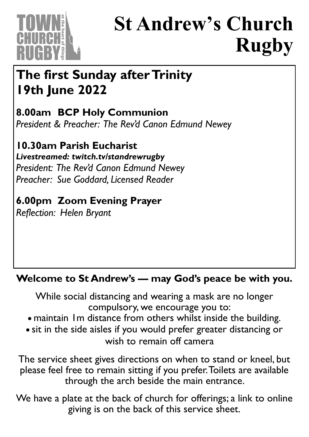

# **St Andrew's Church Rugby**

## **The first Sunday after Trinity 19th June 2022**

**8.00am BCP Holy Communion** *President & Preacher: The Rev'd Canon Edmund Newey*

**10.30am Parish Eucharist**  *Livestreamed: twitch.tv/standrewrugby President: The Rev'd Canon Edmund Newey Preacher: Sue Goddard, Licensed Reader*

**6.00pm Zoom Evening Prayer**  *Reflection: Helen Bryant*

## **Welcome to St Andrew's — may God's peace be with you.**

While social distancing and wearing a mask are no longer compulsory, we encourage you to:

- maintain 1m distance from others whilst inside the building.
- sit in the side aisles if you would prefer greater distancing or wish to remain off camera

The service sheet gives directions on when to stand or kneel, but please feel free to remain sitting if you prefer. Toilets are available through the arch beside the main entrance.

We have a plate at the back of church for offerings; a link to online giving is on the back of this service sheet.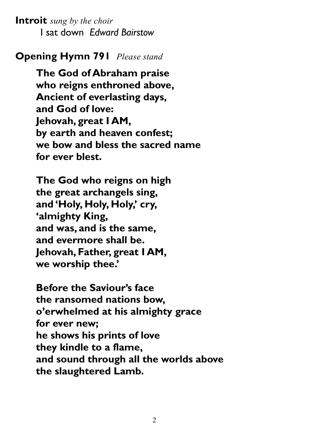**Introit** *sung by the choir* I sat down *Edward Bairstow*

#### **Opening Hymn 791** *Please stand*

**The God of Abraham praise who reigns enthroned above, Ancient of everlasting days, and God of love: Jehovah, great I AM, by earth and heaven confest; we bow and bless the sacred name for ever blest.**

**The God who reigns on high the great archangels sing, and 'Holy, Holy, Holy,' cry, 'almighty King, and was, and is the same, and evermore shall be. Jehovah, Father, great I AM, we worship thee.'**

**Before the Saviour's face the ransomed nations bow, o'erwhelmed at his almighty grace for ever new; he shows his prints of love they kindle to a flame, and sound through all the worlds above the slaughtered Lamb.**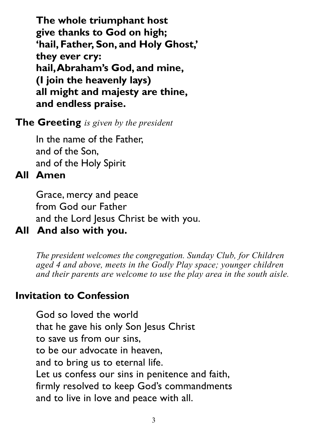**The whole triumphant host give thanks to God on high; 'hail, Father, Son, and Holy Ghost,' they ever cry: hail, Abraham's God, and mine, (I join the heavenly lays) all might and majesty are thine, and endless praise.**

#### **The Greeting** *is given by the president*

In the name of the Father, and of the Son, and of the Holy Spirit

## **All Amen**

Grace, mercy and peace from God our Father and the Lord Jesus Christ be with you.

#### **All And also with you.**

*The president welcomes the congregation. Sunday Club, for Children aged 4 and above, meets in the Godly Play space; younger children and their parents are welcome to use the play area in the south aisle.* 

#### **Invitation to Confession**

God so loved the world that he gave his only Son Jesus Christ to save us from our sins, to be our advocate in heaven, and to bring us to eternal life. Let us confess our sins in penitence and faith, firmly resolved to keep God's commandments and to live in love and peace with all.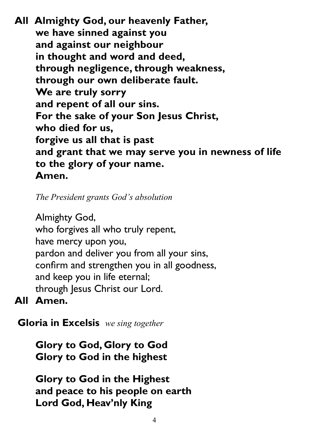**All Almighty God, our heavenly Father, we have sinned against you and against our neighbour in thought and word and deed, through negligence, through weakness, through our own deliberate fault. We are truly sorry and repent of all our sins. For the sake of your Son Jesus Christ, who died for us, forgive us all that is past and grant that we may serve you in newness of life to the glory of your name. Amen.**

*The President grants God's absolution*

Almighty God, who forgives all who truly repent, have mercy upon you, pardon and deliver you from all your sins, confirm and strengthen you in all goodness, and keep you in life eternal; through Jesus Christ our Lord.

**All Amen.**

**Gloria in Excelsis** *we sing together*

**Glory to God, Glory to God Glory to God in the highest**

**Glory to God in the Highest and peace to his people on earth Lord God, Heav'nly King**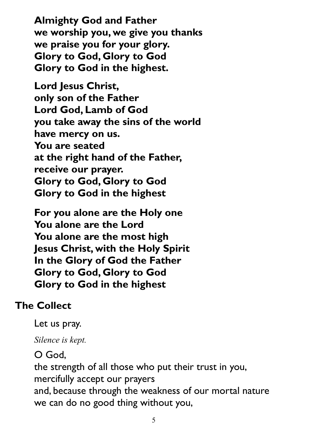**Almighty God and Father we worship you, we give you thanks we praise you for your glory. Glory to God, Glory to God Glory to God in the highest.**

**Lord Jesus Christ, only son of the Father Lord God, Lamb of God you take away the sins of the world have mercy on us. You are seated at the right hand of the Father, receive our prayer. Glory to God, Glory to God Glory to God in the highest**

**For you alone are the Holy one You alone are the Lord You alone are the most high Jesus Christ, with the Holy Spirit In the Glory of God the Father Glory to God, Glory to God Glory to God in the highest**

#### **The Collect**

Let us pray.

*Silence is kept.*

O God, the strength of all those who put their trust in you, mercifully accept our prayers and, because through the weakness of our mortal nature we can do no good thing without you,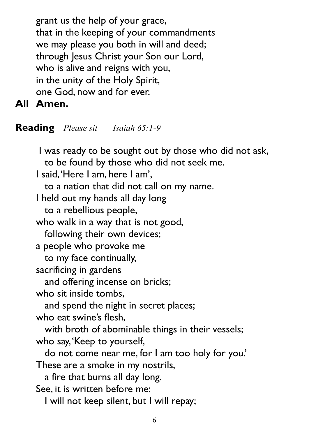grant us the help of your grace, that in the keeping of your commandments we may please you both in will and deed; through Jesus Christ your Son our Lord, who is alive and reigns with you, in the unity of the Holy Spirit, one God, now and for ever.

#### **All Amen.**

#### **Reading** *Please sit Isaiah 65:1-9*

I was ready to be sought out by those who did not ask, to be found by those who did not seek me. I said, 'Here I am, here I am', to a nation that did not call on my name. I held out my hands all day long to a rebellious people, who walk in a way that is not good, following their own devices; a people who provoke me to my face continually, sacrificing in gardens and offering incense on bricks; who sit inside tombs. and spend the night in secret places; who eat swine's flesh, with broth of abominable things in their vessels; who say, 'Keep to yourself, do not come near me, for I am too holy for you.' These are a smoke in my nostrils, a fire that burns all day long. See, it is written before me: I will not keep silent, but I will repay;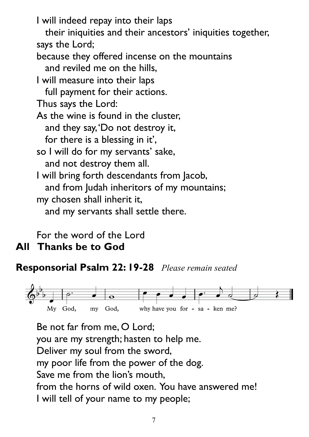I will indeed repay into their laps their iniquities and their ancestors' iniquities together, says the Lord; because they offered incense on the mountains and reviled me on the hills, I will measure into their laps full payment for their actions. Thus says the Lord: As the wine is found in the cluster, and they say, 'Do not destroy it, for there is a blessing in it', so I will do for my servants' sake, and not destroy them all. I will bring forth descendants from Jacob, and from Judah inheritors of my mountains; my chosen shall inherit it, and my servants shall settle there.

For the word of the Lord

#### **All Thanks be to God**

**Responsorial Psalm 22: 19-28** *Please remain seated*



Be not far from me, O Lord; you are my strength; hasten to help me. Deliver my soul from the sword, my poor life from the power of the dog. Save me from the lion's mouth, from the horns of wild oxen. You have answered me! I will tell of your name to my people;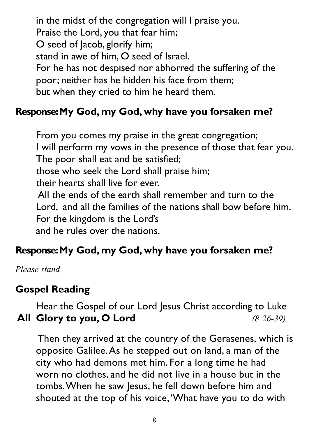in the midst of the congregation will I praise you. Praise the Lord, you that fear him; O seed of Jacob, glorify him; stand in awe of him, O seed of Israel. For he has not despised nor abhorred the suffering of the poor; neither has he hidden his face from them; but when they cried to him he heard them.

#### **Response: My God, my God, why have you forsaken me?**

From you comes my praise in the great congregation; I will perform my vows in the presence of those that fear you. The poor shall eat and be satisfied; those who seek the Lord shall praise him; their hearts shall live for ever. All the ends of the earth shall remember and turn to the Lord, and all the families of the nations shall bow before him. For the kingdom is the Lord's

and he rules over the nations.

#### **Response: My God, my God, why have you forsaken me?**

*Please stand*

## **Gospel Reading**

Hear the Gospel of our Lord Jesus Christ according to Luke **All Glory to you, O Lord** *(8:26-39)* 

Then they arrived at the country of the Gerasenes, which is opposite Galilee.As he stepped out on land, a man of the city who had demons met him. For a long time he had worn no clothes, and he did not live in a house but in the tombs.When he saw Jesus, he fell down before him and shouted at the top of his voice, 'What have you to do with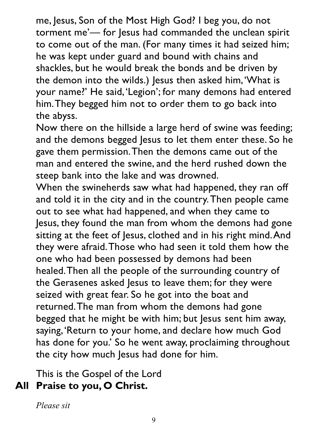me, Jesus, Son of the Most High God? I beg you, do not torment me'— for lesus had commanded the unclean spirit to come out of the man. (For many times it had seized him; he was kept under guard and bound with chains and shackles, but he would break the bonds and be driven by the demon into the wilds.) Jesus then asked him, 'What is your name?' He said, 'Legion'; for many demons had entered him.They begged him not to order them to go back into the abyss.

Now there on the hillside a large herd of swine was feeding; and the demons begged Jesus to let them enter these. So he gave them permission.Then the demons came out of the man and entered the swine, and the herd rushed down the steep bank into the lake and was drowned.

When the swineherds saw what had happened, they ran off and told it in the city and in the country.Then people came out to see what had happened, and when they came to Jesus, they found the man from whom the demons had gone sitting at the feet of Jesus, clothed and in his right mind. And they were afraid.Those who had seen it told them how the one who had been possessed by demons had been healed.Then all the people of the surrounding country of the Gerasenes asked Jesus to leave them; for they were seized with great fear. So he got into the boat and returned.The man from whom the demons had gone begged that he might be with him; but Jesus sent him away, saying,'Return to your home, and declare how much God has done for you.' So he went away, proclaiming throughout the city how much Jesus had done for him.

This is the Gospel of the Lord **All Praise to you, O Christ.**

*Please sit*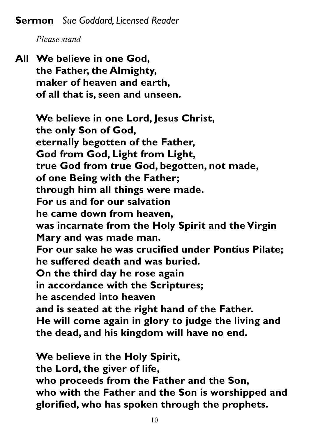**Sermon** *Sue Goddard, Licensed Reader*

*Please stand*

**All We believe in one God, the Father, the Almighty, maker of heaven and earth, of all that is, seen and unseen.**

> **We believe in one Lord, Jesus Christ, the only Son of God, eternally begotten of the Father, God from God, Light from Light, true God from true God, begotten, not made, of one Being with the Father; through him all things were made. For us and for our salvation he came down from heaven, was incarnate from the Holy Spirit and the Virgin Mary and was made man. For our sake he was crucified under Pontius Pilate; he suffered death and was buried. On the third day he rose again in accordance with the Scriptures; he ascended into heaven and is seated at the right hand of the Father. He will come again in glory to judge the living and the dead, and his kingdom will have no end.**

**We believe in the Holy Spirit, the Lord, the giver of life, who proceeds from the Father and the Son, who with the Father and the Son is worshipped and glorified, who has spoken through the prophets.**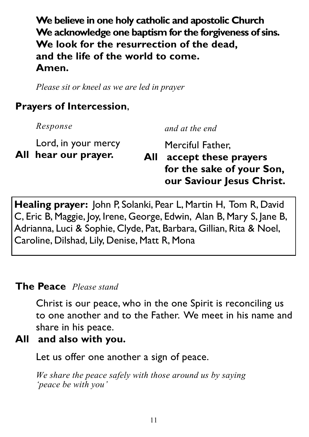**We believe in one holy catholic and apostolic Church We acknowledge one baptism for the forgiveness of sins. We look for the resurrection of the dead, and the life of the world to come. Amen.**

*Please sit or kneel as we are led in prayer*

#### **Prayers of Intercession**,

*Response*

*and at the end*

Lord, in your mercy

**All hear our prayer.**

Merciful Father,

**All accept these prayers for the sake of your Son, our Saviour Jesus Christ.** 

**Healing prayer:** John P, Solanki, Pear L, Martin H, Tom R, David C, Eric B, Maggie, Joy, Irene, George, Edwin, Alan B, Mary S, Jane B, Adrianna, Luci & Sophie, Clyde, Pat, Barbara, Gillian, Rita & Noel, Caroline, Dilshad, Lily, Denise, Matt R, Mona

#### **The Peace** *Please stand*

Christ is our peace, who in the one Spirit is reconciling us to one another and to the Father. We meet in his name and share in his peace.

**All and also with you.**

Let us offer one another a sign of peace.

*We share the peace safely with those around us by saying 'peace be with you'*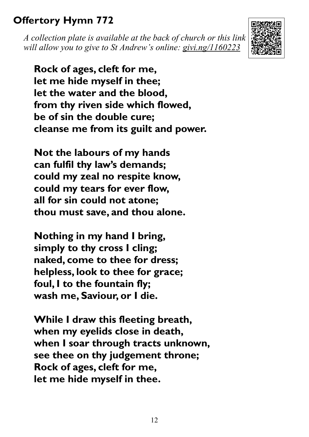## **Offertory Hymn 772**

*A collection plate is available at the back of church or this link will allow you to give to St Andrew's online: [givi.ng/1160223](https://givi.ng/1160223)*



**Rock of ages, cleft for me, let me hide myself in thee; let the water and the blood, from thy riven side which flowed, be of sin the double cure; cleanse me from its guilt and power.**

**Not the labours of my hands can fulfil thy law's demands; could my zeal no respite know, could my tears for ever flow, all for sin could not atone; thou must save, and thou alone.**

**Nothing in my hand I bring, simply to thy cross I cling; naked, come to thee for dress; helpless, look to thee for grace; foul, I to the fountain fly; wash me, Saviour, or I die.**

**While I draw this fleeting breath, when my eyelids close in death, when I soar through tracts unknown, see thee on thy judgement throne; Rock of ages, cleft for me, let me hide myself in thee.**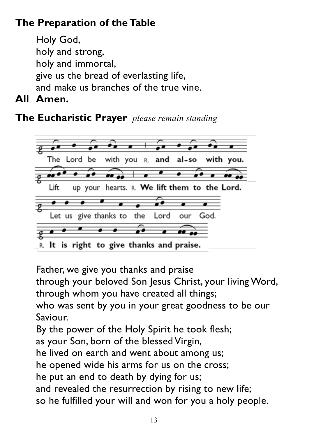## **The Preparation of the Table**

Holy God, holy and strong, holy and immortal, give us the bread of everlasting life, and make us branches of the true vine.

**All Amen.** 

**The Eucharistic Prayer** *please remain standing*



R. It is right to give thanks and praise.

Father, we give you thanks and praise

through your beloved Son Jesus Christ, your living Word, through whom you have created all things;

who was sent by you in your great goodness to be our Saviour.

By the power of the Holy Spirit he took flesh;

as your Son, born of the blessed Virgin,

he lived on earth and went about among us;

he opened wide his arms for us on the cross;

he put an end to death by dying for us;

and revealed the resurrection by rising to new life; so he fulfilled your will and won for you a holy people.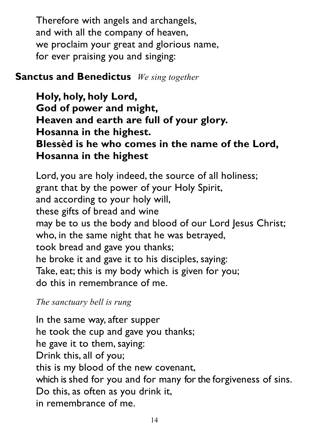Therefore with angels and archangels, and with all the company of heaven, we proclaim your great and glorious name, for ever praising you and singing:

#### **Sanctus and Benedictus** *We sing together*

**Holy, holy, holy Lord, God of power and might, Heaven and earth are full of your glory. Hosanna in the highest. Blessèd is he who comes in the name of the Lord, Hosanna in the highest**

Lord, you are holy indeed, the source of all holiness; grant that by the power of your Holy Spirit, and according to your holy will, these gifts of bread and wine may be to us the body and blood of our Lord Jesus Christ; who, in the same night that he was betrayed, took bread and gave you thanks; he broke it and gave it to his disciples, saying: Take, eat; this is my body which is given for you; do this in remembrance of me.

*The sanctuary bell is rung*

In the same way, after supper he took the cup and gave you thanks; he gave it to them, saying: Drink this, all of you; this is my blood of the new covenant, which is shed for you and for many for the forgiveness of sins. Do this, as often as you drink it, in remembrance of me.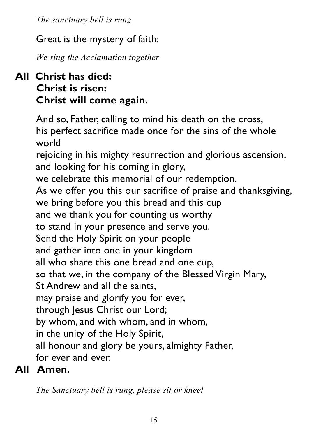*The sanctuary bell is rung*

Great is the mystery of faith:

*We sing the Acclamation together*

## **All Christ has died: Christ is risen: Christ will come again.**

And so, Father, calling to mind his death on the cross, his perfect sacrifice made once for the sins of the whole world rejoicing in his mighty resurrection and glorious ascension, and looking for his coming in glory, we celebrate this memorial of our redemption. As we offer you this our sacrifice of praise and thanksgiving, we bring before you this bread and this cup and we thank you for counting us worthy to stand in your presence and serve you. Send the Holy Spirit on your people and gather into one in your kingdom all who share this one bread and one cup, so that we, in the company of the Blessed Virgin Mary, St Andrew and all the saints, may praise and glorify you for ever, through Jesus Christ our Lord; by whom, and with whom, and in whom, in the unity of the Holy Spirit, all honour and glory be yours, almighty Father, for ever and ever.

**All Amen.**

*The Sanctuary bell is rung, please sit or kneel*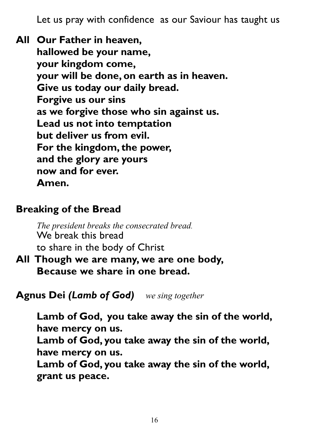Let us pray with confidence as our Saviour has taught us

**All Our Father in heaven, hallowed be your name, your kingdom come, your will be done, on earth as in heaven. Give us today our daily bread. Forgive us our sins as we forgive those who sin against us. Lead us not into temptation but deliver us from evil. For the kingdom, the power, and the glory are yours now and for ever. Amen.**

#### **Breaking of the Bread**

*The president breaks the consecrated bread.* We break this bread to share in the body of Christ

#### **All Though we are many, we are one body, Because we share in one bread.**

**Agnus Dei** *(Lamb of God) we sing together*

**Lamb of God, you take away the sin of the world, have mercy on us.**

**Lamb of God, you take away the sin of the world, have mercy on us.**

**Lamb of God, you take away the sin of the world, grant us peace.**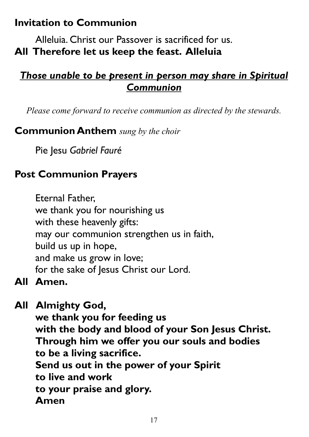#### **Invitation to Communion**

Alleluia. Christ our Passover is sacrificed for us. **All Therefore let us keep the feast. Alleluia**

#### *Those unable to be present in person may share in Spiritual Communion*

*Please come forward to receive communion as directed by the stewards.* 

**Communion Anthem** *sung by the choir*

Pie Jesu *Gabriel Fauré* 

## **Post Communion Prayers**

Eternal Father, we thank you for nourishing us with these heavenly gifts: may our communion strengthen us in faith, build us up in hope, and make us grow in love; for the sake of Jesus Christ our Lord.

**All Amen.** 

**All Almighty God, we thank you for feeding us with the body and blood of your Son Jesus Christ. Through him we offer you our souls and bodies to be a living sacrifice. Send us out in the power of your Spirit to live and work to your praise and glory. Amen**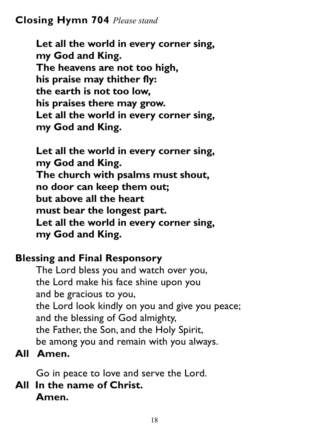#### **Closing Hymn 704** *Please stand*

**Let all the world in every corner sing, my God and King. The heavens are not too high, his praise may thither fly: the earth is not too low, his praises there may grow. Let all the world in every corner sing, my God and King.**

**Let all the world in every corner sing, my God and King. The church with psalms must shout, no door can keep them out; but above all the heart must bear the longest part. Let all the world in every corner sing, my God and King.**

#### **Blessing and Final Responsory**

The Lord bless you and watch over you, the Lord make his face shine upon you and be gracious to you, the Lord look kindly on you and give you peace; and the blessing of God almighty, the Father, the Son, and the Holy Spirit, be among you and remain with you always.

**All Amen.**

Go in peace to love and serve the Lord.

**All In the name of Christ. Amen.**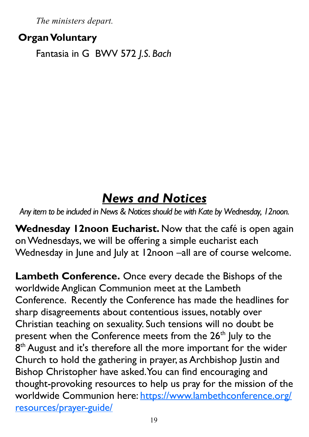*The ministers depart.*

#### **Organ Voluntary**

Fantasia in G BWV 572 *J.S. Bach*

# *News and Notices*

*Any item to be included in News & Notices should be with Kate by Wednesday, 12noon.*

**Wednesday 12noon Eucharist.** Now that the café is open again on Wednesdays, we will be offering a simple eucharist each Wednesday in June and July at 12noon –all are of course welcome.

**Lambeth Conference.** Once every decade the Bishops of the worldwide Anglican Communion meet at the Lambeth Conference. Recently the Conference has made the headlines for sharp disagreements about contentious issues, notably over Christian teaching on sexuality. Such tensions will no doubt be present when the Conference meets from the  $26<sup>th</sup>$  July to the  $8<sup>th</sup>$  August and it's therefore all the more important for the wider Church to hold the gathering in prayer, as Archbishop Justin and Bishop Christopher have asked. You can find encouraging and thought-provoking resources to help us pray for the mission of the worldwide Communion here: [https://www.lambethconference.org/](https://eur01.safelinks.protection.outlook.com/?url=https%3A%2F%2Fwww.lambethconference.org%2Fresources%2Fprayer-guide%2F&data=05%7C01%7Coffice%40rugbychurch.org.uk%7Ca68ff4446bcc4f48f84608da47053434%7Ccd30d1654a95462f81dd01c9fa72a877%7C1%7C0%7C63790038491057) [resources/prayer-guide/](https://eur01.safelinks.protection.outlook.com/?url=https%3A%2F%2Fwww.lambethconference.org%2Fresources%2Fprayer-guide%2F&data=05%7C01%7Coffice%40rugbychurch.org.uk%7Ca68ff4446bcc4f48f84608da47053434%7Ccd30d1654a95462f81dd01c9fa72a877%7C1%7C0%7C63790038491057)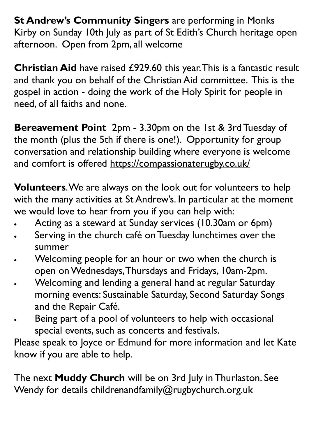**St Andrew's Community Singers** are performing in Monks Kirby on Sunday 10th July as part of St Edith's Church heritage open afternoon. Open from 2pm, all welcome

**Christian Aid** have raised £929.60 this year. This is a fantastic result and thank you on behalf of the Christian Aid committee. This is the gospel in action - doing the work of the Holy Spirit for people in need, of all faiths and none.

**Bereavement Point** 2pm - 3.30pm on the 1st & 3rd Tuesday of the month (plus the 5th if there is one!). Opportunity for group conversation and relationship building where everyone is welcome and comfort is offered [https://compassionaterugby.co.uk/](https://eur01.safelinks.protection.outlook.com/?url=https%3A%2F%2Fcompassionaterugby.co.uk%2F&data=04%7C01%7Coffice%40rugbychurch.org.uk%7Cb9ae696d46e542c203f208d9267899da%7Ccd30d1654a95462f81dd01c9fa72a877%7C1%7C0%7C637583121703808004%7CUnknown%7CTWFpbGZsb3d)

**Volunteers**. We are always on the look out for volunteers to help with the many activities at St Andrew's. In particular at the moment we would love to hear from you if you can help with:

- Acting as a steward at Sunday services (10.30am or 6pm)
- Serving in the church café on Tuesday lunchtimes over the summer
- Welcoming people for an hour or two when the church is open on Wednesdays, Thursdays and Fridays, 10am-2pm.
- Welcoming and lending a general hand at regular Saturday morning events: Sustainable Saturday, Second Saturday Songs and the Repair Café.
- Being part of a pool of volunteers to help with occasional special events, such as concerts and festivals.

Please speak to Joyce or Edmund for more information and let Kate know if you are able to help.

The next **Muddy Church** will be on 3rd July in Thurlaston. See Wendy for details childrenandfamily@rugbychurch.org.uk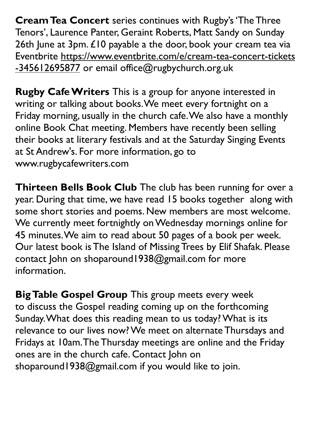**Cream Tea Concert** series continues with Rugby's 'The Three Tenors', Laurence Panter, Geraint Roberts, Matt Sandy on Sunday 26th June at 3pm. £10 payable a the door, book your cream tea via Eventbrite https://www.eventbrite.com/e/cream-tea-concert-tickets -345612695877 or email office@rugbychurch.org.uk

**Rugby Cafe Writers** This is a group for anyone interested in writing or talking about books. We meet every fortnight on a Friday morning, usually in the church cafe. We also have a monthly online Book Chat meeting. Members have recently been selling their books at literary festivals and at the Saturday Singing Events at St Andrew's. For more information, go to www.rugbycafewriters.com

**Thirteen Bells Book Club** The club has been running for over a year. During that time, we have read 15 books together along with some short stories and poems. New members are most welcome. We currently meet fortnightly on Wednesday mornings online for 45 minutes. We aim to read about 50 pages of a book per week. Our latest book is The Island of Missing Trees by Elif Shafak. Please contact John on shoparound1938@gmail.com for more information.

**Big Table Gospel Group** This group meets every week to discuss the Gospel reading coming up on the forthcoming Sunday.What does this reading mean to us today? What is its relevance to our lives now? We meet on alternate Thursdays and Fridays at 10am. The Thursday meetings are online and the Friday ones are in the church cafe. Contact John on shoparound1938@gmail.com if you would like to join.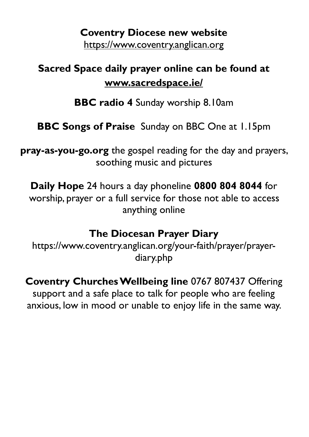**Coventry Diocese new website** <https://www.coventry.anglican.org>

## **Sacred Space daily prayer online can be found at [www.sacredspace.ie/](https://www.sacredspace.ie/)**

**BBC radio 4** Sunday worship 8.10am

**BBC Songs of Praise** Sunday on BBC One at 1.15pm

**pray-as-you-go.org** the gospel reading for the day and prayers, soothing music and pictures

**Daily Hope** 24 hours a day phoneline **0800 804 8044** for worship, prayer or a full service for those not able to access anything online

#### **The Diocesan Prayer Diary**

https://www.coventry.anglican.org/your-faith/prayer/prayerdiary.php

**Coventry Churches Wellbeing line** 0767 807437 Offering support and a safe place to talk for people who are feeling anxious, low in mood or unable to enjoy life in the same way.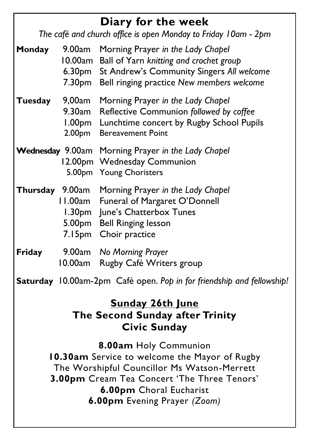## **Diary for the week** *The café and church office is open Monday to Friday 10am - 2pm* **Monday** 9.00am Morning Prayer *in the Lady Chapel* 10.00am Ball of Yarn *knitting and crochet group* 6.30pm St Andrew's Community Singers *All welcome* 7.30pm Bell ringing practice *New members welcome* **Tuesday** 9,00am Morning Prayer *in the Lady Chapel* 9.30am Reflective Communion *followed by coffee* 1.00pm Lunchtime concert by Rugby School Pupils 2.00pm Bereavement Point **Wednesday** 9.00am Morning Prayer *in the Lady Chapel* 12.00pm Wednesday Communion 5.00pm Young Choristers **Thursday** 9.00am Morning Prayer *in the Lady Chapel* 11.00am Funeral of Margaret O'Donnell 1.30pm June's Chatterbox Tunes 5.00pm Bell Ringing lesson 7.15pm Choir practice **Friday**9.00am *No Morning Prayer*  10.00am Rugby Café Writers group **Saturday** 10.00am-2pm Café open. *Pop in for friendship and fellowship!*

## **Sunday 26th June The Second Sunday after Trinity Civic Sunday**

**8.00am** Holy Communion **10.30am** Service to welcome the Mayor of Rugby The Worshipful Councillor Ms Watson-Merrett **3.00pm** Cream Tea Concert 'The Three Tenors' **6.00pm** Choral Eucharist **6.00pm** Evening Prayer *(Zoom)*